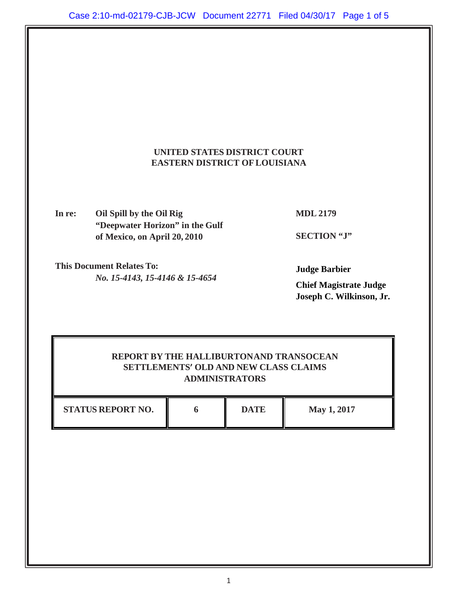

**In re: Oil Spill by the Oil Rig "Deepwater Horizon" in the Gulf of Mexico, on April 20, 2010**

**MDL 2179**

**SECTION "J"** 

**This Document Relates To:** *No. 15-4143, 15-4146 & 15-4654*

**Judge Barbier** 

**Chief Magistrate Judge Joseph C. Wilkinson, Jr.** 

# **REPORT BY THE HALLIBURTON AND TRANSOCEAN SETTLEMENTS' OLD AND NEW CLASS CLAIMS ADMINISTRATORS**

| <b>STATUS REPORT NO.</b> | DATE | May 1, 2017 |
|--------------------------|------|-------------|
|                          |      |             |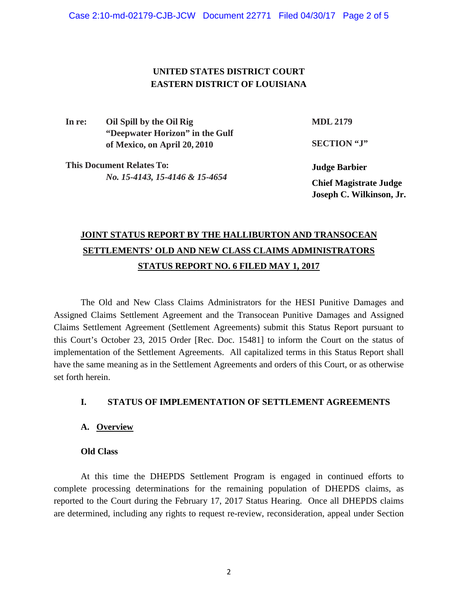# **UNITED STATES DISTRICT COURT EASTERN DISTRICT OF LOUISIANA**

**In re: Oil Spill by the Oil Rig "Deepwater Horizon" in the Gulf of Mexico, on April 20, 2010**

**MDL 2179**

**SECTION "J"** 

**This Document Relates To:** *No. 15-4143, 15-4146 & 15-4654*

**Judge Barbier Chief Magistrate Judge Joseph C. Wilkinson, Jr.** 

# **JOINT STATUS REPORT BY THE HALLIBURTON AND TRANSOCEAN SETTLEMENTS' OLD AND NEW CLASS CLAIMS ADMINISTRATORS STATUS REPORT NO. 6 FILED MAY 1, 2017**

The Old and New Class Claims Administrators for the HESI Punitive Damages and Assigned Claims Settlement Agreement and the Transocean Punitive Damages and Assigned Claims Settlement Agreement (Settlement Agreements) submit this Status Report pursuant to this Court's October 23, 2015 Order [Rec. Doc. 15481] to inform the Court on the status of implementation of the Settlement Agreements. All capitalized terms in this Status Report shall have the same meaning as in the Settlement Agreements and orders of this Court, or as otherwise set forth herein.

## **I. STATUS OF IMPLEMENTATION OF SETTLEMENT AGREEMENTS**

## **A. Overview**

## **Old Class**

At this time the DHEPDS Settlement Program is engaged in continued efforts to complete processing determinations for the remaining population of DHEPDS claims, as reported to the Court during the February 17, 2017 Status Hearing. Once all DHEPDS claims are determined, including any rights to request re-review, reconsideration, appeal under Section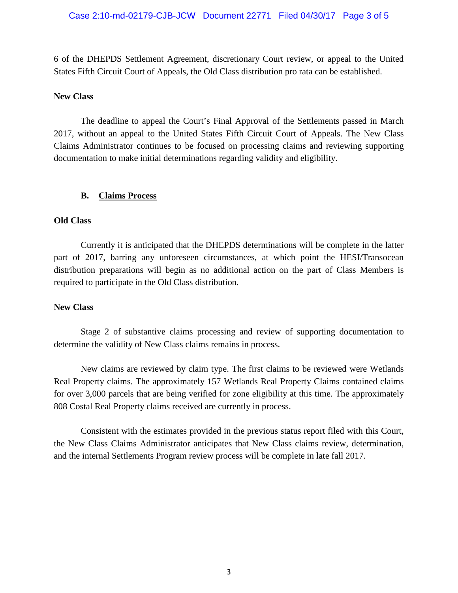#### Case 2:10-md-02179-CJB-JCW Document 22771 Filed 04/30/17 Page 3 of 5

6 of the DHEPDS Settlement Agreement, discretionary Court review, or appeal to the United States Fifth Circuit Court of Appeals, the Old Class distribution pro rata can be established.

#### **New Class**

The deadline to appeal the Court's Final Approval of the Settlements passed in March 2017, without an appeal to the United States Fifth Circuit Court of Appeals. The New Class Claims Administrator continues to be focused on processing claims and reviewing supporting documentation to make initial determinations regarding validity and eligibility.

#### **B. Claims Process**

#### **Old Class**

Currently it is anticipated that the DHEPDS determinations will be complete in the latter part of 2017, barring any unforeseen circumstances, at which point the HESI/Transocean distribution preparations will begin as no additional action on the part of Class Members is required to participate in the Old Class distribution.

#### **New Class**

Stage 2 of substantive claims processing and review of supporting documentation to determine the validity of New Class claims remains in process.

New claims are reviewed by claim type. The first claims to be reviewed were Wetlands Real Property claims. The approximately 157 Wetlands Real Property Claims contained claims for over 3,000 parcels that are being verified for zone eligibility at this time. The approximately 808 Costal Real Property claims received are currently in process.

 Consistent with the estimates provided in the previous status report filed with this Court, the New Class Claims Administrator anticipates that New Class claims review, determination, and the internal Settlements Program review process will be complete in late fall 2017.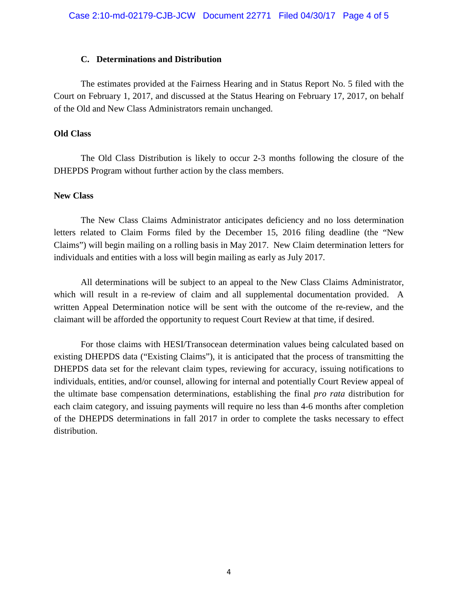#### **C. Determinations and Distribution**

The estimates provided at the Fairness Hearing and in Status Report No. 5 filed with the Court on February 1, 2017, and discussed at the Status Hearing on February 17, 2017, on behalf of the Old and New Class Administrators remain unchanged.

#### **Old Class**

The Old Class Distribution is likely to occur 2-3 months following the closure of the DHEPDS Program without further action by the class members.

### **New Class**

The New Class Claims Administrator anticipates deficiency and no loss determination letters related to Claim Forms filed by the December 15, 2016 filing deadline (the "New Claims") will begin mailing on a rolling basis in May 2017. New Claim determination letters for individuals and entities with a loss will begin mailing as early as July 2017.

All determinations will be subject to an appeal to the New Class Claims Administrator, which will result in a re-review of claim and all supplemental documentation provided. A written Appeal Determination notice will be sent with the outcome of the re-review, and the claimant will be afforded the opportunity to request Court Review at that time, if desired.

For those claims with HESI/Transocean determination values being calculated based on existing DHEPDS data ("Existing Claims"), it is anticipated that the process of transmitting the DHEPDS data set for the relevant claim types, reviewing for accuracy, issuing notifications to individuals, entities, and/or counsel, allowing for internal and potentially Court Review appeal of the ultimate base compensation determinations, establishing the final *pro rata* distribution for each claim category, and issuing payments will require no less than 4-6 months after completion of the DHEPDS determinations in fall 2017 in order to complete the tasks necessary to effect distribution.